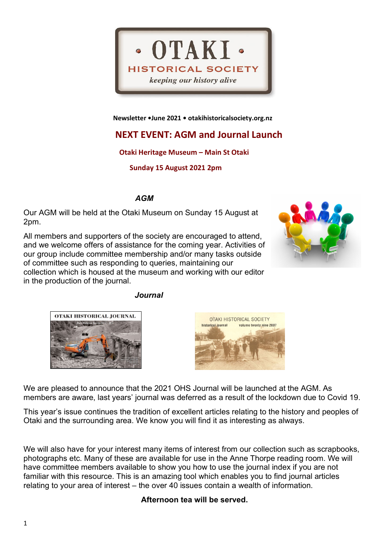

 **Newsletter •June 2021 • otakihistoricalsociety.org.nz**

# **NEXT EVENT: AGM and Journal Launch**

## **Otaki Heritage Museum – Main St Otaki**

 **Sunday 15 August 2021 2pm**

*AGM*

Our AGM will be held at the Otaki Museum on Sunday 15 August at 2pm.

All members and supporters of the society are encouraged to attend, and we welcome offers of assistance for the coming year. Activities of our group include committee membership and/or many tasks outside of committee such as responding to queries, maintaining our collection which is housed at the museum and working with our editor in the production of the journal.









We are pleased to announce that the 2021 OHS Journal will be launched at the AGM. As members are aware, last years' journal was deferred as a result of the lockdown due to Covid 19.

This year's issue continues the tradition of excellent articles relating to the history and peoples of Otaki and the surrounding area. We know you will find it as interesting as always.

We will also have for your interest many items of interest from our collection such as scrapbooks, photographs etc. Many of these are available for use in the Anne Thorpe reading room. We will have committee members available to show you how to use the journal index if you are not familiar with this resource. This is an amazing tool which enables you to find journal articles relating to your area of interest – the over 40 issues contain a wealth of information.

## **Afternoon tea will be served.**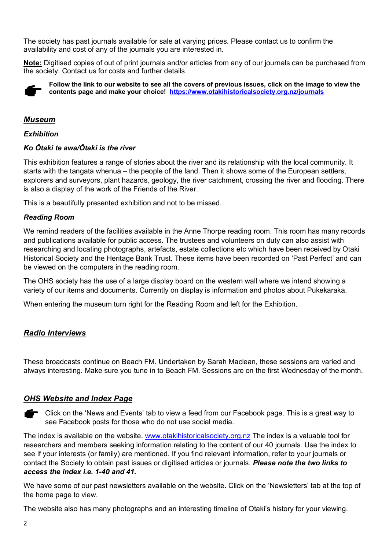The society has past journals available for sale at varying prices. Please contact us to confirm the availability and cost of any of the journals you are interested in.

**Note:** Digitised copies of out of print journals and/or articles from any of our journals can be purchased from the society. Contact us for costs and further details.



**Follow the link to our website to see all the covers of previous issues, click on the image to view the contents page and make your choice! <https://www.otakihistoricalsociety.org.nz/journals>**

### *Museum*

#### *Exhibition*

#### *Ko Ōtaki te awa/Ōtaki is the river*

This exhibition features a range of stories about the river and its relationship with the local community. It starts with the tangata whenua – the people of the land. Then it shows some of the European settlers, explorers and surveyors, plant hazards, geology, the river catchment, crossing the river and flooding. There is also a display of the work of the Friends of the River.

This is a beautifully presented exhibition and not to be missed.

#### *Reading Room*

We remind readers of the facilities available in the Anne Thorpe reading room. This room has many records and publications available for public access. The trustees and volunteers on duty can also assist with researching and locating photographs, artefacts, estate collections etc which have been received by Otaki Historical Society and the Heritage Bank Trust. These items have been recorded on 'Past Perfect' and can be viewed on the computers in the reading room.

The OHS society has the use of a large display board on the western wall where we intend showing a variety of our items and documents. Currently on display is information and photos about Pukekaraka.

When entering the museum turn right for the Reading Room and left for the Exhibition.

## *Radio Interviews*

These broadcasts continue on Beach FM. Undertaken by Sarah Maclean, these sessions are varied and always interesting. Make sure you tune in to Beach FM. Sessions are on the first Wednesday of the month.

#### *OHS Website and Index Page*

Click on the 'News and Events' tab to view a feed from our Facebook page. This is a great way to see Facebook posts for those who do not use social media.

The index is available on the website. [www.otakihistoricalsociety.org.nz](http://www.otakihistoricalsociety.org.nz/) The index is a valuable tool for researchers and members seeking information relating to the content of our 40 journals. Use the index to see if your interests (or family) are mentioned. If you find relevant information, refer to your journals or contact the Society to obtain past issues or digitised articles or journals. *Please note the two links to access the index i.e. 1-40 and 41.*

We have some of our past newsletters available on the website. Click on the 'Newsletters' tab at the top of the home page to view.

The website also has many photographs and an interesting timeline of Otaki's history for your viewing.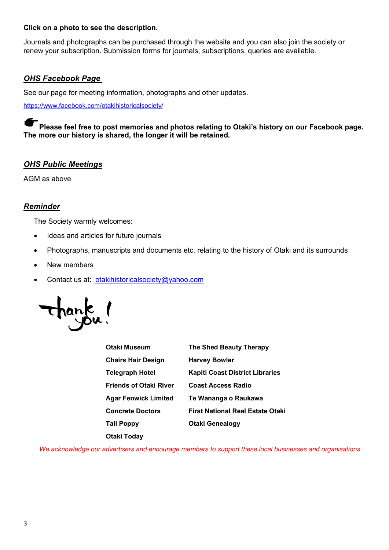#### **Click on a photo to see the description.**

Journals and photographs can be purchased through the website and you can also join the society or renew your subscription. Submission forms for journals, subscriptions, queries are available.

#### *OHS Facebook Page*

See our page for meeting information, photographs and other updates.

<https://www.facebook.com/otakihistoricalsociety/>

**Please feel free to post memories and photos relating to Otaki's history on our Facebook page. The more our history is shared, the longer it will be retained.**

#### *OHS Public Meetings*

AGM as above

#### *Reminder*

The Society warmly welcomes:

- Ideas and articles for future journals
- Photographs, manuscripts and documents etc. relating to the history of Otaki and its surrounds
- New members
- Contact us at: otakihistoricalsociety@yahoo.com



| Otaki Museum                  | <b>The Shed Beauty Therapy</b>          |
|-------------------------------|-----------------------------------------|
| <b>Chairs Hair Design</b>     | <b>Harvey Bowler</b>                    |
| Telegraph Hotel               | <b>Kapiti Coast District Libraries</b>  |
| <b>Friends of Otaki River</b> | <b>Coast Access Radio</b>               |
| Agar Fenwick Limited          | Te Wananga o Raukawa                    |
| <b>Concrete Doctors</b>       | <b>First National Real Estate Otaki</b> |
| Tall Poppy                    | <b>Otaki Genealogy</b>                  |
| Otaki Today                   |                                         |

*We acknowledge our advertisers and encourage members to support these local businesses and organisations*